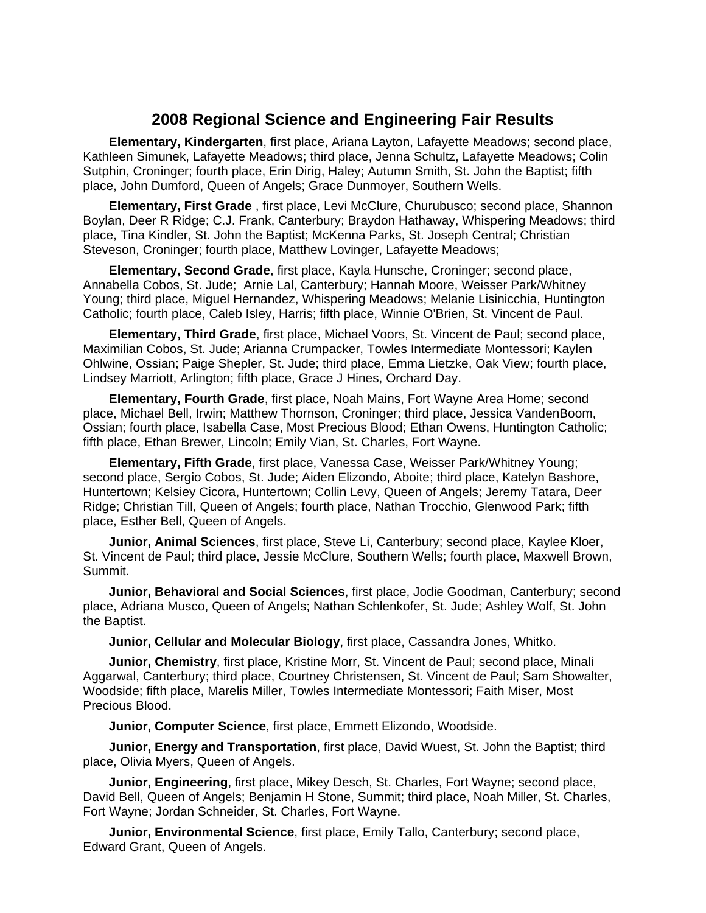## **2008 Regional Science and Engineering Fair Results**

 **Elementary, Kindergarten**, first place, Ariana Layton, Lafayette Meadows; second place, Kathleen Simunek, Lafayette Meadows; third place, Jenna Schultz, Lafayette Meadows; Colin Sutphin, Croninger; fourth place, Erin Dirig, Haley; Autumn Smith, St. John the Baptist; fifth place, John Dumford, Queen of Angels; Grace Dunmoyer, Southern Wells.

 **Elementary, First Grade** , first place, Levi McClure, Churubusco; second place, Shannon Boylan, Deer R Ridge; C.J. Frank, Canterbury; Braydon Hathaway, Whispering Meadows; third place, Tina Kindler, St. John the Baptist; McKenna Parks, St. Joseph Central; Christian Steveson, Croninger; fourth place, Matthew Lovinger, Lafayette Meadows;

 **Elementary, Second Grade**, first place, Kayla Hunsche, Croninger; second place, Annabella Cobos, St. Jude; Arnie Lal, Canterbury; Hannah Moore, Weisser Park/Whitney Young; third place, Miguel Hernandez, Whispering Meadows; Melanie Lisinicchia, Huntington Catholic; fourth place, Caleb Isley, Harris; fifth place, Winnie O'Brien, St. Vincent de Paul.

 **Elementary, Third Grade**, first place, Michael Voors, St. Vincent de Paul; second place, Maximilian Cobos, St. Jude; Arianna Crumpacker, Towles Intermediate Montessori; Kaylen Ohlwine, Ossian; Paige Shepler, St. Jude; third place, Emma Lietzke, Oak View; fourth place, Lindsey Marriott, Arlington; fifth place, Grace J Hines, Orchard Day.

 **Elementary, Fourth Grade**, first place, Noah Mains, Fort Wayne Area Home; second place, Michael Bell, Irwin; Matthew Thornson, Croninger; third place, Jessica VandenBoom, Ossian; fourth place, Isabella Case, Most Precious Blood; Ethan Owens, Huntington Catholic; fifth place, Ethan Brewer, Lincoln; Emily Vian, St. Charles, Fort Wayne.

 **Elementary, Fifth Grade**, first place, Vanessa Case, Weisser Park/Whitney Young; second place, Sergio Cobos, St. Jude; Aiden Elizondo, Aboite; third place, Katelyn Bashore, Huntertown; Kelsiey Cicora, Huntertown; Collin Levy, Queen of Angels; Jeremy Tatara, Deer Ridge; Christian Till, Queen of Angels; fourth place, Nathan Trocchio, Glenwood Park; fifth place, Esther Bell, Queen of Angels.

**Junior, Animal Sciences**, first place, Steve Li, Canterbury; second place, Kaylee Kloer, St. Vincent de Paul; third place, Jessie McClure, Southern Wells; fourth place, Maxwell Brown, Summit.

**Junior, Behavioral and Social Sciences**, first place, Jodie Goodman, Canterbury; second place, Adriana Musco, Queen of Angels; Nathan Schlenkofer, St. Jude; Ashley Wolf, St. John the Baptist.

**Junior, Cellular and Molecular Biology**, first place, Cassandra Jones, Whitko.

**Junior, Chemistry**, first place, Kristine Morr, St. Vincent de Paul; second place, Minali Aggarwal, Canterbury; third place, Courtney Christensen, St. Vincent de Paul; Sam Showalter, Woodside; fifth place, Marelis Miller, Towles Intermediate Montessori; Faith Miser, Most Precious Blood.

**Junior, Computer Science**, first place, Emmett Elizondo, Woodside.

**Junior, Energy and Transportation**, first place, David Wuest, St. John the Baptist; third place, Olivia Myers, Queen of Angels.

**Junior, Engineering**, first place, Mikey Desch, St. Charles, Fort Wayne; second place, David Bell, Queen of Angels; Benjamin H Stone, Summit; third place, Noah Miller, St. Charles, Fort Wayne; Jordan Schneider, St. Charles, Fort Wayne.

**Junior, Environmental Science**, first place, Emily Tallo, Canterbury; second place, Edward Grant, Queen of Angels.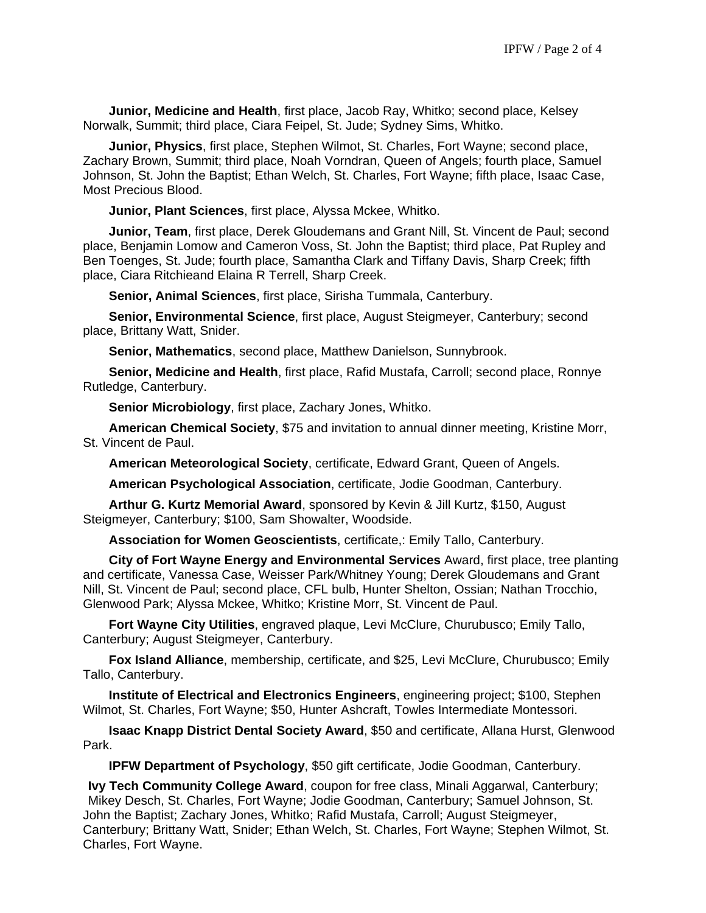**Junior, Medicine and Health**, first place, Jacob Ray, Whitko; second place, Kelsey Norwalk, Summit; third place, Ciara Feipel, St. Jude; Sydney Sims, Whitko.

**Junior, Physics**, first place, Stephen Wilmot, St. Charles, Fort Wayne; second place, Zachary Brown, Summit; third place, Noah Vorndran, Queen of Angels; fourth place, Samuel Johnson, St. John the Baptist; Ethan Welch, St. Charles, Fort Wayne; fifth place, Isaac Case, Most Precious Blood.

**Junior, Plant Sciences**, first place, Alyssa Mckee, Whitko.

**Junior, Team**, first place, Derek Gloudemans and Grant Nill, St. Vincent de Paul; second place, Benjamin Lomow and Cameron Voss, St. John the Baptist; third place, Pat Rupley and Ben Toenges, St. Jude; fourth place, Samantha Clark and Tiffany Davis, Sharp Creek; fifth place, Ciara Ritchieand Elaina R Terrell, Sharp Creek.

**Senior, Animal Sciences**, first place, Sirisha Tummala, Canterbury.

**Senior, Environmental Science**, first place, August Steigmeyer, Canterbury; second place, Brittany Watt, Snider.

**Senior, Mathematics**, second place, Matthew Danielson, Sunnybrook.

**Senior, Medicine and Health**, first place, Rafid Mustafa, Carroll; second place, Ronnye Rutledge, Canterbury.

**Senior Microbiology**, first place, Zachary Jones, Whitko.

 **American Chemical Society**, \$75 and invitation to annual dinner meeting, Kristine Morr, St. Vincent de Paul.

**American Meteorological Society**, certificate, Edward Grant, Queen of Angels.

**American Psychological Association**, certificate, Jodie Goodman, Canterbury.

**Arthur G. Kurtz Memorial Award**, sponsored by Kevin & Jill Kurtz, \$150, August Steigmeyer, Canterbury; \$100, Sam Showalter, Woodside.

**Association for Women Geoscientists**, certificate,: Emily Tallo, Canterbury.

**City of Fort Wayne Energy and Environmental Services** Award, first place, tree planting and certificate, Vanessa Case, Weisser Park/Whitney Young; Derek Gloudemans and Grant Nill, St. Vincent de Paul; second place, CFL bulb, Hunter Shelton, Ossian; Nathan Trocchio, Glenwood Park; Alyssa Mckee, Whitko; Kristine Morr, St. Vincent de Paul.

**Fort Wayne City Utilities**, engraved plaque, Levi McClure, Churubusco; Emily Tallo, Canterbury; August Steigmeyer, Canterbury.

**Fox Island Alliance**, membership, certificate, and \$25, Levi McClure, Churubusco; Emily Tallo, Canterbury.

**Institute of Electrical and Electronics Engineers**, engineering project; \$100, Stephen Wilmot, St. Charles, Fort Wayne; \$50, Hunter Ashcraft, Towles Intermediate Montessori.

**Isaac Knapp District Dental Society Award**, \$50 and certificate, Allana Hurst, Glenwood Park.

**IPFW Department of Psychology**, \$50 gift certificate, Jodie Goodman, Canterbury.

**Ivy Tech Community College Award**, coupon for free class, Minali Aggarwal, Canterbury; Mikey Desch, St. Charles, Fort Wayne; Jodie Goodman, Canterbury; Samuel Johnson, St. John the Baptist; Zachary Jones, Whitko; Rafid Mustafa, Carroll; August Steigmeyer, Canterbury; Brittany Watt, Snider; Ethan Welch, St. Charles, Fort Wayne; Stephen Wilmot, St. Charles, Fort Wayne.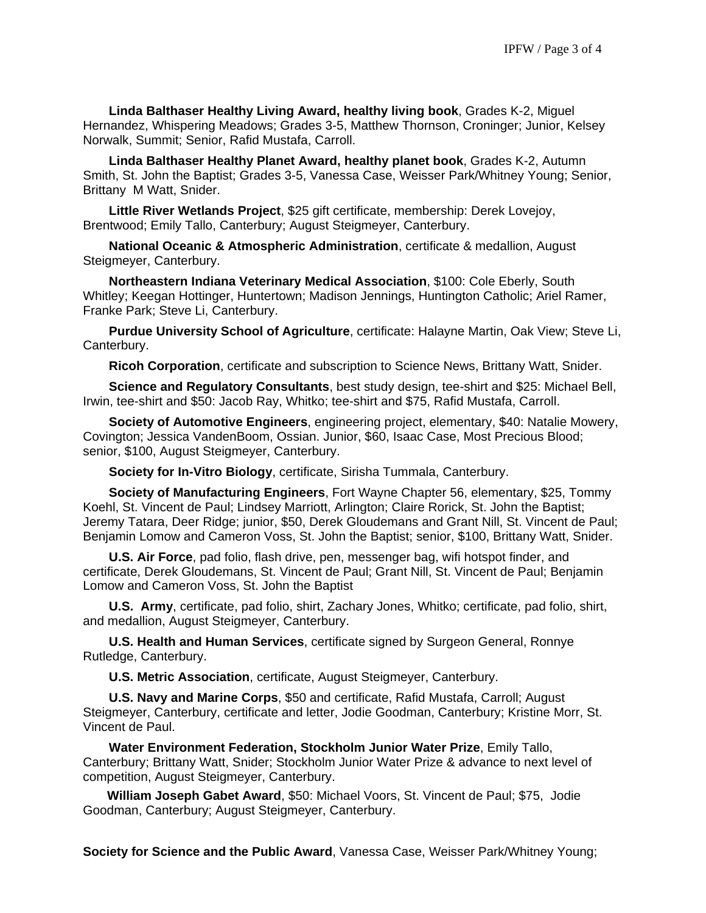**Linda Balthaser Healthy Living Award, healthy living book**, Grades K-2, Miguel Hernandez, Whispering Meadows; Grades 3-5, Matthew Thornson, Croninger; Junior, Kelsey Norwalk, Summit; Senior, Rafid Mustafa, Carroll.

**Linda Balthaser Healthy Planet Award, healthy planet book**, Grades K-2, Autumn Smith, St. John the Baptist; Grades 3-5, Vanessa Case, Weisser Park/Whitney Young; Senior, Brittany M Watt, Snider.

**Little River Wetlands Project**, \$25 gift certificate, membership: Derek Lovejoy, Brentwood; Emily Tallo, Canterbury; August Steigmeyer, Canterbury.

**National Oceanic & Atmospheric Administration**, certificate & medallion, August Steigmeyer, Canterbury.

**Northeastern Indiana Veterinary Medical Association**, \$100: Cole Eberly, South Whitley; Keegan Hottinger, Huntertown; Madison Jennings, Huntington Catholic; Ariel Ramer, Franke Park; Steve Li, Canterbury.

**Purdue University School of Agriculture**, certificate: Halayne Martin, Oak View; Steve Li, Canterbury.

**Ricoh Corporation**, certificate and subscription to Science News, Brittany Watt, Snider.

**Science and Regulatory Consultants**, best study design, tee-shirt and \$25: Michael Bell, Irwin, tee-shirt and \$50: Jacob Ray, Whitko; tee-shirt and \$75, Rafid Mustafa, Carroll.

**Society of Automotive Engineers**, engineering project, elementary, \$40: Natalie Mowery, Covington; Jessica VandenBoom, Ossian. Junior, \$60, Isaac Case, Most Precious Blood; senior, \$100, August Steigmeyer, Canterbury.

**Society for In-Vitro Biology**, certificate, Sirisha Tummala, Canterbury.

**Society of Manufacturing Engineers**, Fort Wayne Chapter 56, elementary, \$25, Tommy Koehl, St. Vincent de Paul; Lindsey Marriott, Arlington; Claire Rorick, St. John the Baptist; Jeremy Tatara, Deer Ridge; junior, \$50, Derek Gloudemans and Grant Nill, St. Vincent de Paul; Benjamin Lomow and Cameron Voss, St. John the Baptist; senior, \$100, Brittany Watt, Snider.

**U.S. Air Force**, pad folio, flash drive, pen, messenger bag, wifi hotspot finder, and certificate, Derek Gloudemans, St. Vincent de Paul; Grant Nill, St. Vincent de Paul; Benjamin Lomow and Cameron Voss, St. John the Baptist

**U.S. Army**, certificate, pad folio, shirt, Zachary Jones, Whitko; certificate, pad folio, shirt, and medallion, August Steigmeyer, Canterbury.

 **U.S. Health and Human Services**, certificate signed by Surgeon General, Ronnye Rutledge, Canterbury.

**U.S. Metric Association**, certificate, August Steigmeyer, Canterbury.

**U.S. Navy and Marine Corps**, \$50 and certificate, Rafid Mustafa, Carroll; August Steigmeyer, Canterbury, certificate and letter, Jodie Goodman, Canterbury; Kristine Morr, St. Vincent de Paul.

 **Water Environment Federation, Stockholm Junior Water Prize**, Emily Tallo, Canterbury; Brittany Watt, Snider; Stockholm Junior Water Prize & advance to next level of competition, August Steigmeyer, Canterbury.

**William Joseph Gabet Award**, \$50: Michael Voors, St. Vincent de Paul; \$75, Jodie Goodman, Canterbury; August Steigmeyer, Canterbury.

**Society for Science and the Public Award**, Vanessa Case, Weisser Park/Whitney Young;